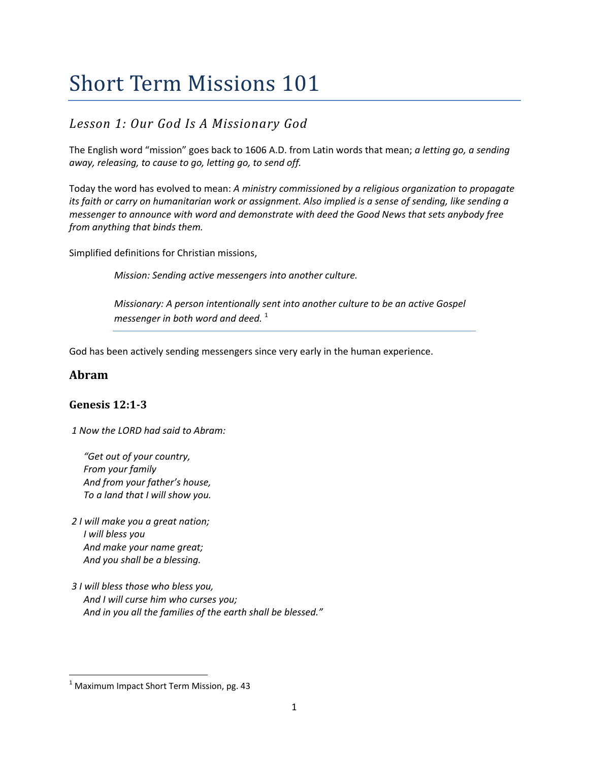## *Lesson 1: Our God Is A Missionary God*

The English word "mission" goes back to 1606 A.D. from Latin words that mean; *a letting go, a sending away, releasing, to cause to go, letting go, to send off.*

Today the word has evolved to mean: *A ministry commissioned by a religious organization to propagate* its faith or carry on humanitarian work or assignment. Also implied is a sense of sending, like sending a *messenger to announce with word and demonstrate with deed the Good News that sets anybody free from anything that binds them.*

Simplified definitions for Christian missions,

*Mission: Sending active messengers into another culture.*

*Missionary: A person intentionally sent into another culture to be an active Gospel messenger in both word and deed.* <sup>1</sup>

God has been actively sending messengers since very early in the human experience.

#### **Abram**

#### **Genesis 12:13**

*1 Now the LORD had said to Abram:*

 *"Get out of your country, From your family And from your father's house, To a land that I will show you.* 

*2 I will make you a great nation; I will bless you And make your name great; And you shall be a blessing.* 

*3 I will bless those who bless you, And I will curse him who curses you; And in you all the families of the earth shall be blessed."* 

 $1$  Maximum Impact Short Term Mission, pg. 43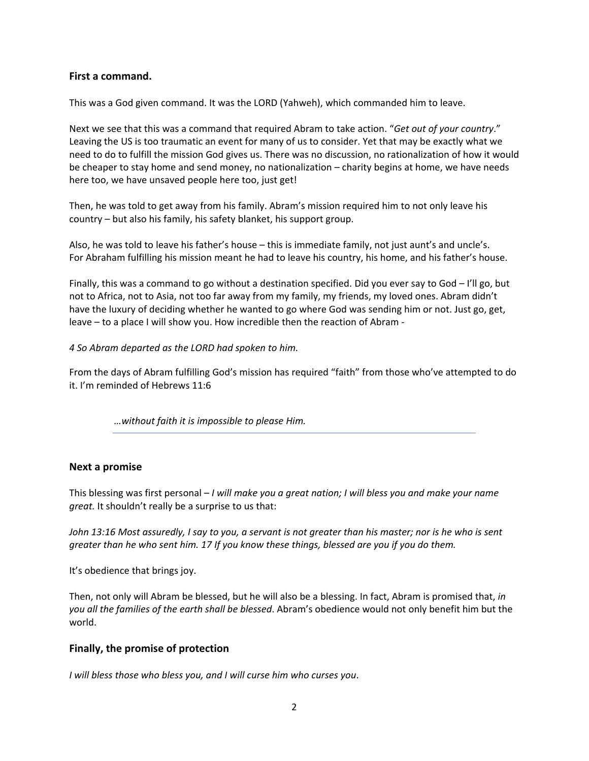#### **First a command.**

This was a God given command. It was the LORD (Yahweh), which commanded him to leave.

Next we see that this was a command that required Abram to take action. "*Get out of your country*." Leaving the US is too traumatic an event for many of us to consider. Yet that may be exactly what we need to do to fulfill the mission God gives us. There was no discussion, no rationalization of how it would be cheaper to stay home and send money, no nationalization – charity begins at home, we have needs here too, we have unsaved people here too, just get!

Then, he was told to get away from his family. Abram's mission required him to not only leave his country – but also his family, his safety blanket, his support group.

Also, he was told to leave his father's house – this is immediate family, not just aunt's and uncle's. For Abraham fulfilling his mission meant he had to leave his country, his home, and his father's house.

Finally, this was a command to go without a destination specified. Did you ever say to God – I'll go, but not to Africa, not to Asia, not too far away from my family, my friends, my loved ones. Abram didn't have the luxury of deciding whether he wanted to go where God was sending him or not. Just go, get, leave – to a place I will show you. How incredible then the reaction of Abram ‐

*4 So Abram departed as the LORD had spoken to him.* 

From the days of Abram fulfilling God's mission has required "faith" from those who've attempted to do it. I'm reminded of Hebrews 11:6

*…without faith it is impossible to please Him.* 

#### **Next a promise**

This blessing was first personal – *I will make you a great nation; I will bless you and make your name great.* It shouldn't really be a surprise to us that:

John 13:16 Most assuredly, I say to you, a servant is not greater than his master; nor is he who is sent *greater than he who sent him. 17 If you know these things, blessed are you if you do them.*

It's obedience that brings joy.

Then, not only will Abram be blessed, but he will also be a blessing. In fact, Abram is promised that, *in you all the families of the earth shall be blessed*. Abram's obedience would not only benefit him but the world.

#### **Finally, the promise of protection**

*I will bless those who bless you, and I will curse him who curses you*.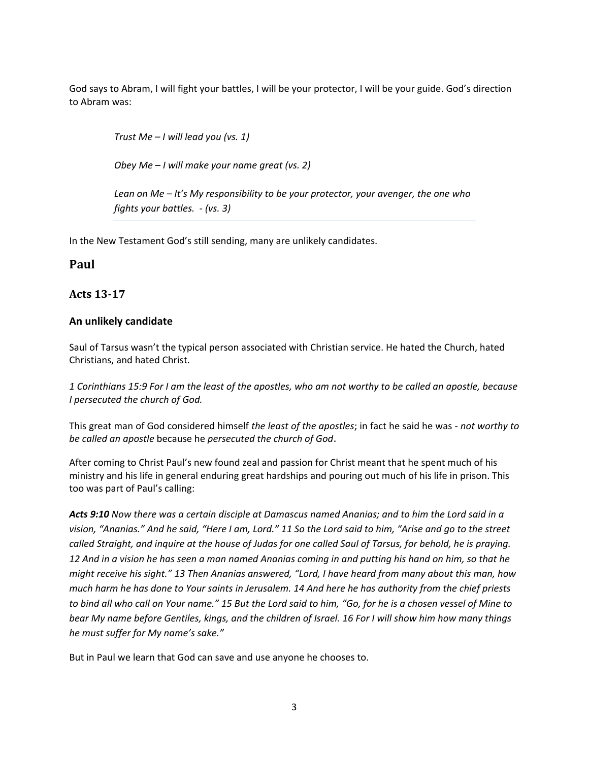God says to Abram, I will fight your battles, I will be your protector, I will be your guide. God's direction to Abram was:

*Trust Me – I will lead you (vs. 1)* 

*Obey Me – I will make your name great (vs. 2)* 

*Lean on Me – It's My responsibility to be your protector, your avenger, the one who fights your battles. ‐ (vs. 3)*

In the New Testament God's still sending, many are unlikely candidates.

#### **Paul**

#### **Acts 1317**

#### **An unlikely candidate**

Saul of Tarsus wasn't the typical person associated with Christian service. He hated the Church, hated Christians, and hated Christ.

1 Corinthians 15:9 For I am the least of the apostles, who am not worthy to be called an apostle, because *I persecuted the church of God.*

This great man of God considered himself *the least of the apostles*; in fact he said he was ‐ *not worthy to be called an apostle* because he *persecuted the church of God*.

After coming to Christ Paul's new found zeal and passion for Christ meant that he spent much of his ministry and his life in general enduring great hardships and pouring out much of his life in prison. This too was part of Paul's calling:

Acts 9:10 Now there was a certain disciple at Damascus named Ananias; and to him the Lord said in a vision, "Ananias." And he said, "Here I am, Lord." 11 So the Lord said to him, "Arise and go to the street called Straight, and inquire at the house of Judas for one called Saul of Tarsus, for behold, he is praying. 12 And in a vision he has seen a man named Ananias coming in and putting his hand on him, so that he might receive his sight." 13 Then Ananias answered, "Lord, I have heard from many about this man, how much harm he has done to Your saints in Jerusalem. 14 And here he has authority from the chief priests to bind all who call on Your name." 15 But the Lord said to him, "Go, for he is a chosen vessel of Mine to bear My name before Gentiles, kings, and the children of Israel. 16 For I will show him how many things *he must suffer for My name's sake."*

But in Paul we learn that God can save and use anyone he chooses to.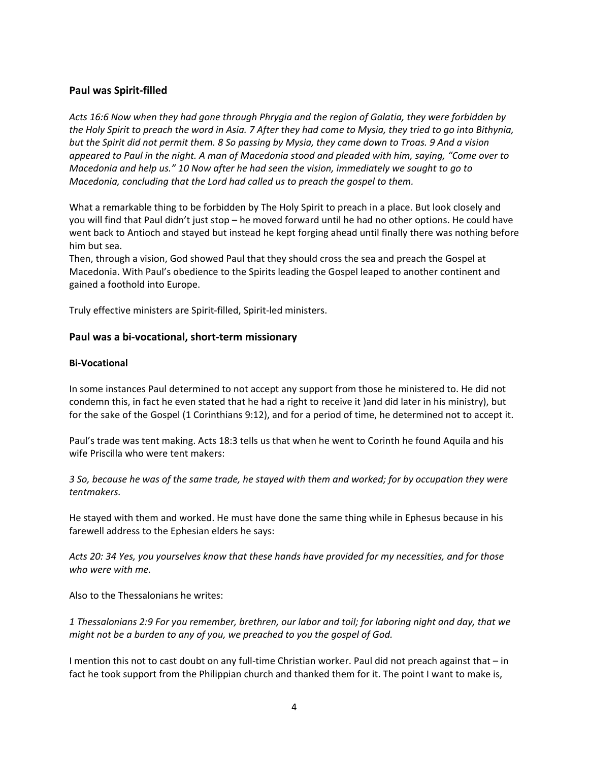#### **Paul was Spirit‐filled**

*Acts 16:6 Now when they had gone through Phrygia and the region of Galatia, they were forbidden by* the Holy Spirit to preach the word in Asia. 7 After they had come to Mysia, they tried to go into Bithynia, but the Spirit did not permit them. 8 So passing by Mysia, they came down to Troas. 9 And a vision appeared to Paul in the night. A man of Macedonia stood and pleaded with him, saying, "Come over to *Macedonia and help us." 10 Now after he had seen the vision, immediately we sought to go to Macedonia, concluding that the Lord had called us to preach the gospel to them.*

What a remarkable thing to be forbidden by The Holy Spirit to preach in a place. But look closely and you will find that Paul didn't just stop – he moved forward until he had no other options. He could have went back to Antioch and stayed but instead he kept forging ahead until finally there was nothing before him but sea.

Then, through a vision, God showed Paul that they should cross the sea and preach the Gospel at Macedonia. With Paul's obedience to the Spirits leading the Gospel leaped to another continent and gained a foothold into Europe.

Truly effective ministers are Spirit‐filled, Spirit‐led ministers.

#### **Paul was a bi‐vocational, short‐term missionary**

#### **Bi‐Vocational**

In some instances Paul determined to not accept any support from those he ministered to. He did not condemn this, in fact he even stated that he had a right to receive it )and did later in his ministry), but for the sake of the Gospel (1 Corinthians 9:12), and for a period of time, he determined not to accept it.

Paul's trade was tent making. Acts 18:3 tells us that when he went to Corinth he found Aquila and his wife Priscilla who were tent makers:

3 So, because he was of the same trade, he stayed with them and worked; for by occupation they were *tentmakers.*

He stayed with them and worked. He must have done the same thing while in Ephesus because in his farewell address to the Ephesian elders he says:

Acts 20: 34 Yes, you yourselves know that these hands have provided for my necessities, and for those *who were with me.*

Also to the Thessalonians he writes:

1 Thessalonians 2:9 For you remember, brethren, our labor and toil; for laboring night and day, that we *might not be a burden to any of you, we preached to you the gospel of God.* 

I mention this not to cast doubt on any full-time Christian worker. Paul did not preach against that – in fact he took support from the Philippian church and thanked them for it. The point I want to make is,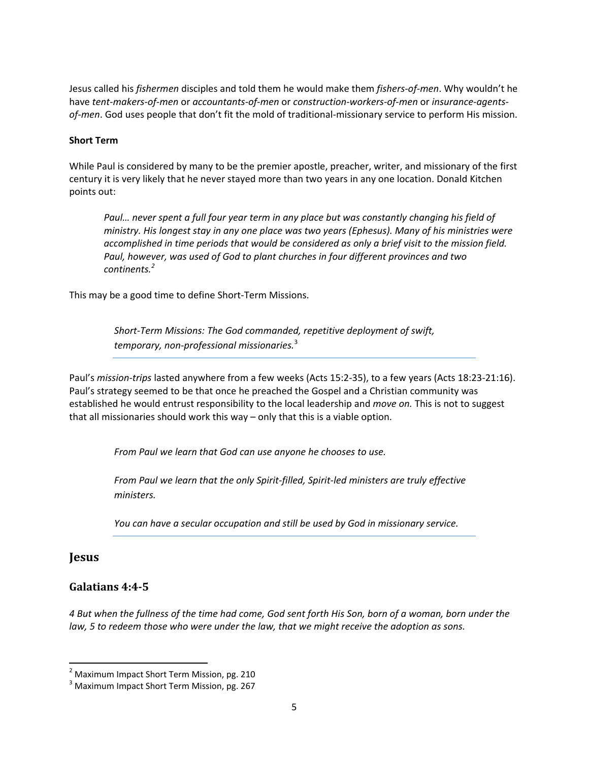Jesus called his *fishermen* disciples and told them he would make them *fishers‐of‐men*. Why wouldn't he have tent-makers-of-men or accountants-of-men or construction-workers-of-men or insurance-agents*of‐men*. God uses people that don't fit the mold of traditional‐missionary service to perform His mission.

#### **Short Term**

While Paul is considered by many to be the premier apostle, preacher, writer, and missionary of the first century it is very likely that he never stayed more than two years in any one location. Donald Kitchen points out:

*Paul… never spent a full four year term in any place but was constantly changing his field of ministry. His longest stay in any one place was two years (Ephesus). Many of his ministries were accomplished in time periods that would be considered as only a brief visit to the mission field. Paul, however, was used of God to plant churches in four different provinces and two continents.<sup>2</sup>*

This may be a good time to define Short‐Term Missions.

*Short‐Term Missions: The God commanded, repetitive deployment of swift, temporary, non‐professional missionaries.*<sup>3</sup>

Paul's *mission‐trips* lasted anywhere from a few weeks (Acts 15:2‐35), to a few years (Acts 18:23‐21:16). Paul's strategy seemed to be that once he preached the Gospel and a Christian community was established he would entrust responsibility to the local leadership and *move on.* This is not to suggest that all missionaries should work this way – only that this is a viable option.

*From Paul we learn that God can use anyone he chooses to use.* 

*From Paul we learn that the only Spirit‐filled, Spirit‐led ministers are truly effective ministers.*

*You can have a secular occupation and still be used by God in missionary service.*

#### **Jesus**

#### **Galatians 4:45**

4 But when the fullness of the time had come, God sent forth His Son, born of a woman, born under the *law, 5 to redeem those who were under the law, that we might receive the adoption as sons.*

<sup>&</sup>lt;sup>2</sup> Maximum Impact Short Term Mission, pg. 210  $^3$  Maximum Impact Short Term Mission, pg. 267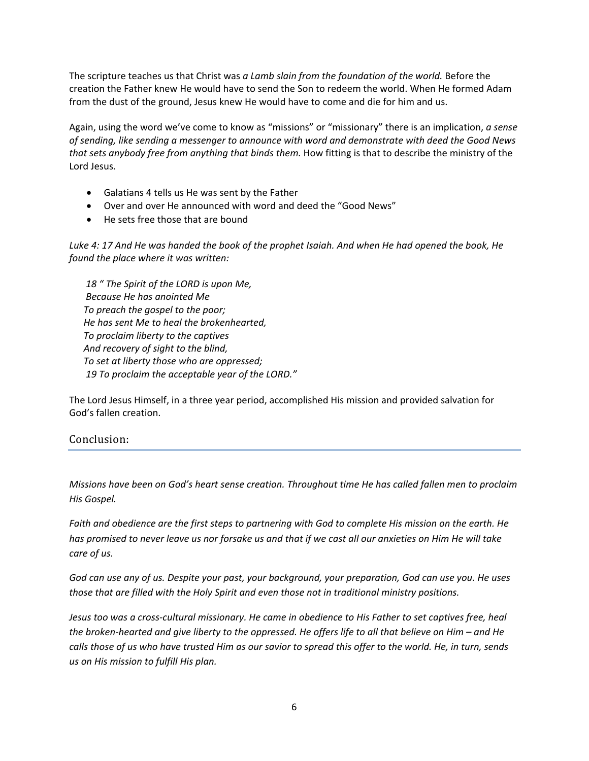The scripture teaches us that Christ was *a Lamb slain from the foundation of the world.* Before the creation the Father knew He would have to send the Son to redeem the world. When He formed Adam from the dust of the ground, Jesus knew He would have to come and die for him and us.

Again, using the word we've come to know as "missions" or "missionary" there is an implication, *a sense of sending, like sending a messenger to announce with word and demonstrate with deed the Good News that sets anybody free from anything that binds them.* How fitting is that to describe the ministry of the Lord Jesus.

- Galatians 4 tells us He was sent by the Father
- Over and over He announced with word and deed the "Good News"
- He sets free those that are bound

Luke 4: 17 And He was handed the book of the prophet Isaiah. And when He had opened the book, He *found the place where it was written:* 

 *18 " The Spirit of the LORD is upon Me, Because He has anointed Me To preach the gospel to the poor; He has sent Me to heal the brokenhearted, To proclaim liberty to the captives And recovery of sight to the blind, To set at liberty those who are oppressed; 19 To proclaim the acceptable year of the LORD."*

The Lord Jesus Himself, in a three year period, accomplished His mission and provided salvation for God's fallen creation.

#### Conclusion:

*Missions have been on God's heart sense creation. Throughout time He has called fallen men to proclaim His Gospel.*

Faith and obedience are the first steps to partnering with God to complete His mission on the earth. He has promised to never leave us nor forsake us and that if we cast all our anxieties on Him He will take *care of us.*

God can use any of us. Despite your past, your background, your preparation, God can use you. He uses *those that are filled with the Holy Spirit and even those not in traditional ministry positions.* 

Jesus too was a cross-cultural missionary. He came in obedience to His Father to set captives free, heal the broken-hearted and give liberty to the oppressed. He offers life to all that believe on Him  $-$  and He calls those of us who have trusted Him as our savior to spread this offer to the world. He, in turn, sends *us on His mission to fulfill His plan.*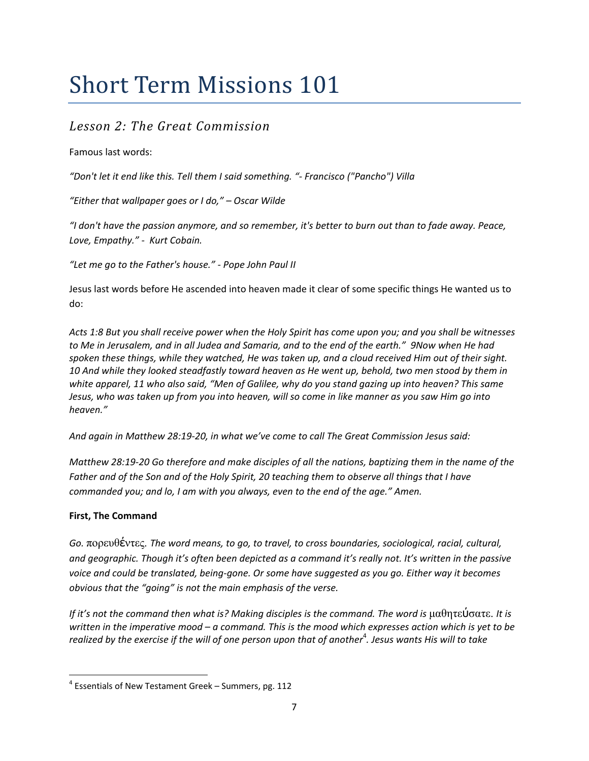## *Lesson 2: The Great Commission*

#### Famous last words:

*"Don't let it end like this. Tell them I said something. "‐ Francisco ("Pancho") Villa*

*"Either that wallpaper goes or I do," – Oscar Wilde*

"I don't have the passion anymore, and so remember, it's better to burn out than to fade away. Peace, *Love, Empathy." ‐ Kurt Cobain.*

*"Let me go to the Father's house." ‐ Pope John Paul II*

Jesus last words before He ascended into heaven made it clear of some specific things He wanted us to do:

Acts 1:8 But you shall receive power when the Holy Spirit has come upon you; and you shall be witnesses to Me in Jerusalem, and in all Judea and Samaria, and to the end of the earth." 9Now when He had spoken these things, while they watched, He was taken up, and a cloud received Him out of their sight. 10 And while they looked steadfastly toward heaven as He went up, behold, two men stood by them in white apparel, 11 who also said, "Men of Galilee, why do you stand gazing up into heaven? This same Jesus, who was taken up from you into heaven, will so come in like manner as you saw Him go into *heaven."*

*And again in Matthew 28:19‐20, in what we've come to call The Great Commission Jesus said:*

Matthew 28:19-20 Go therefore and make disciples of all the nations, baptizing them in the name of the Father and of the Son and of the Holy Spirit, 20 teaching them to observe all things that I have *commanded you; and lo, I am with you always, even to the end of the age." Amen.* 

#### **First, The Command**

*Go.* πορευθέντες. *The word means, to go, to travel, to cross boundaries, sociological, racial, cultural,* and geographic. Though it's often been depicted as a command it's really not. It's written in the passive voice and could be translated, being-gone. Or some have suggested as you go. Either way it becomes *obvious that the "going" is not the main emphasis of the verse.*

If it's not the command then what is? Making disciples is the command. The word is  $\mu$ αθητεύσατε. It is written in the imperative mood  $-a$  command. This is the mood which expresses action which is yet to be realized by the exercise if the will of one person upon that of another $^4$ . Jesus wants His will to take

 $4$  Essentials of New Testament Greek – Summers, pg. 112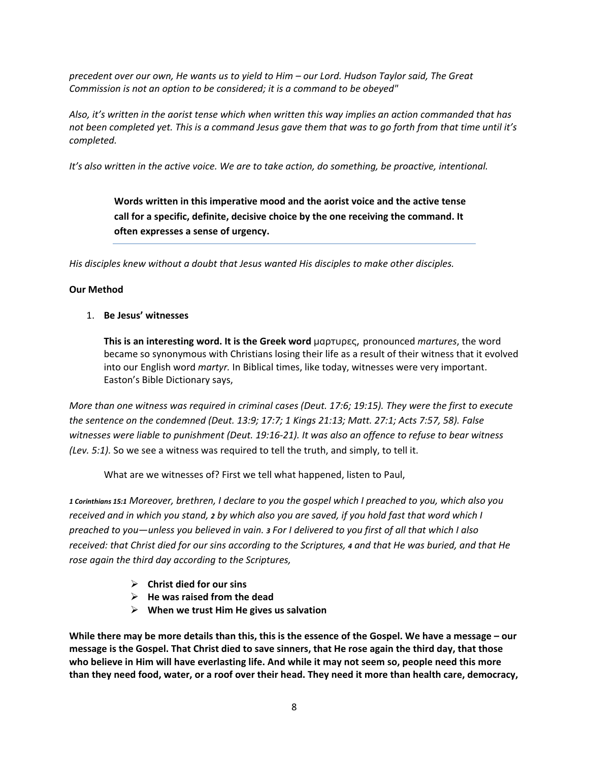precedent over our own, He wants us to yield to Him - our Lord. Hudson Taylor said, The Great *Commission is not an option to be considered; it is a command to be obeyed"*

Also, it's written in the aorist tense which when written this way implies an action commanded that has not been completed yet. This is a command Jesus gave them that was to go forth from that time until it's *completed.*

*It's also written in the active voice. We are to take action, do something, be proactive, intentional.*

**Words written in this imperative mood and the aorist voice and the active tense call for a specific, definite, decisive choice by the one receiving the command. It often expresses a sense of urgency.**

*His disciples knew without a doubt that Jesus wanted His disciples to make other disciples.*

#### **Our Method**

1. **Be Jesus' witnesses**

**This is an interesting word. It is the Greek word** μαρτυρες, pronounced *martures*, the word became so synonymous with Christians losing their life as a result of their witness that it evolved into our English word *martyr.* In Biblical times, like today, witnesses were very important. Easton's Bible Dictionary says,

More than one witness was required in criminal cases (Deut. 17:6; 19:15). They were the first to execute *the sentence on the condemned (Deut. 13:9; 17:7; 1 Kings 21:13; Matt. 27:1; Acts 7:57, 58). False* witnesses were liable to punishment (Deut. 19:16-21). It was also an offence to refuse to bear witness *(Lev. 5:1).* So we see a witness was required to tell the truth, and simply, to tell it.

What are we witnesses of? First we tell what happened, listen to Paul,

1 Corinthians 15:1 Moreover, brethren, I declare to you the gospel which I preached to you, which also you received and in which you stand, 2 by which also you are saved, if you hold fast that word which I preached to you—unless you believed in vain. 3 For I delivered to you first of all that which I also received: that Christ died for our sins according to the Scriptures, 4 and that He was buried, and that He *rose again the third day according to the Scriptures,*

- ¾ **Christ died for our sins**
- ¾ **He was raised from the dead**
- ¾ **When we trust Him He gives us salvation**

While there may be more details than this, this is the essence of the Gospel. We have a message – our message is the Gospel. That Christ died to save sinners, that He rose again the third day, that those who believe in Him will have everlasting life. And while it may not seem so, people need this more than they need food, water, or a roof over their head. They need it more than health care, democracy,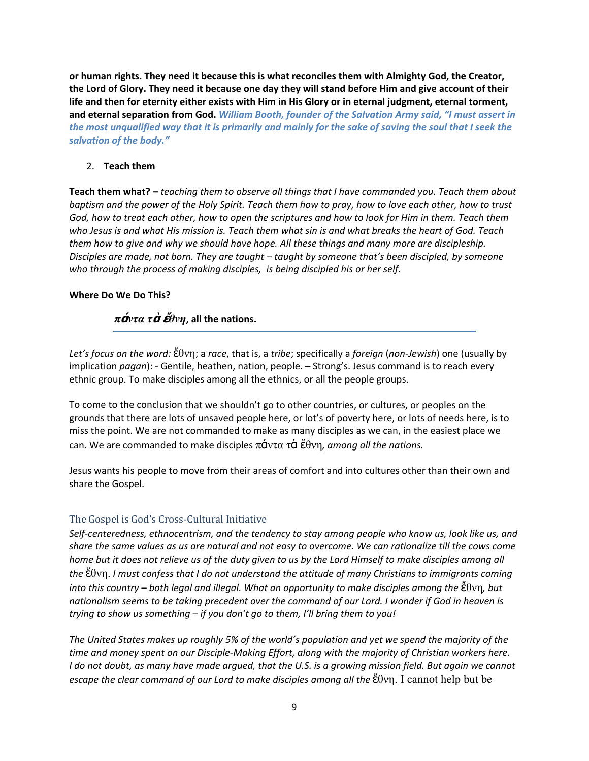**or human rights. They need it because this is what reconciles them with Almighty God, the Creator,** the Lord of Glory. They need it because one day they will stand before Him and give account of their life and then for eternity either exists with Him in His Glory or in eternal judgment, eternal torment, **and eternal separation from God.** *William Booth, founder of the Salvation Army said, "I must assert in* the most unqualified way that it is primarily and mainly for the sake of saving the soul that I seek the *salvation of the body."*

#### 2. **Teach them**

**Teach them what? –** *teaching them to observe all things that I have commanded you. Teach them about* baptism and the power of the Holy Spirit. Teach them how to pray, how to love each other, how to trust God, how to treat each other, how to open the scriptures and how to look for Him in them. Teach them who Jesus is and what His mission is. Teach them what sin is and what breaks the heart of God. Teach *them how to give and why we should have hope. All these things and many more are discipleship. Disciples are made, not born. They are taught – taught by someone that's been discipled, by someone who through the process of making disciples, is being discipled his or her self.*

#### **Where Do We Do This?**

#### *π***ά***ντα τ***ὰ ἔ***θνη***, all the nations.**

*Let's focus on the word:* ἔθνη; a *race*, that is, a *tribe*; specifically a *foreign* (*non‐Jewish*) one (usually by implication *pagan*): - Gentile, heathen, nation, people. - Strong's. Jesus command is to reach every ethnic group. To make disciples among all the ethnics, or all the people groups.

To come to the conclusion that we shouldn't go to other countries, or cultures, or peoples on the grounds that there are lots of unsaved people here, or lot's of poverty here, or lots of needs here, is to miss the point. We are not commanded to make as many disciples as we can, in the easiest place we can. We are commanded to make disciples πάντα τὰ ἔθνη*, among all the nations.*

Jesus wants his people to move from their areas of comfort and into cultures other than their own and share the Gospel.

#### The Gospel is God's Cross‐Cultural Initiative

Self-centeredness, ethnocentrism, and the tendency to stay among people who know us, look like us, and share the same values as us are natural and not easy to overcome. We can rationalize till the cows come home but it does not relieve us of the duty given to us by the Lord Himself to make disciples among all *the* ἔθνη. *I must confess that I do not understand the attitude of many Christians to immigrants coming* into this country – both legal and illegal. What an opportunity to make disciples among the  $\ddot{\epsilon}$   $\theta$  vn, but nationalism seems to be taking precedent over the command of our Lord. I wonder if God in heaven is *trying to show us something – if you don't go to them, I'll bring them to you!*

The United States makes up roughly 5% of the world's population and yet we spend the majority of the time and money spent on our Disciple-Making Effort, along with the majority of Christian workers here. I do not doubt, as many have made argued, that the U.S. is a growing mission field. But again we cannot *escape the clear command of our Lord to make disciples among all the* ἔθνη. I cannot help but be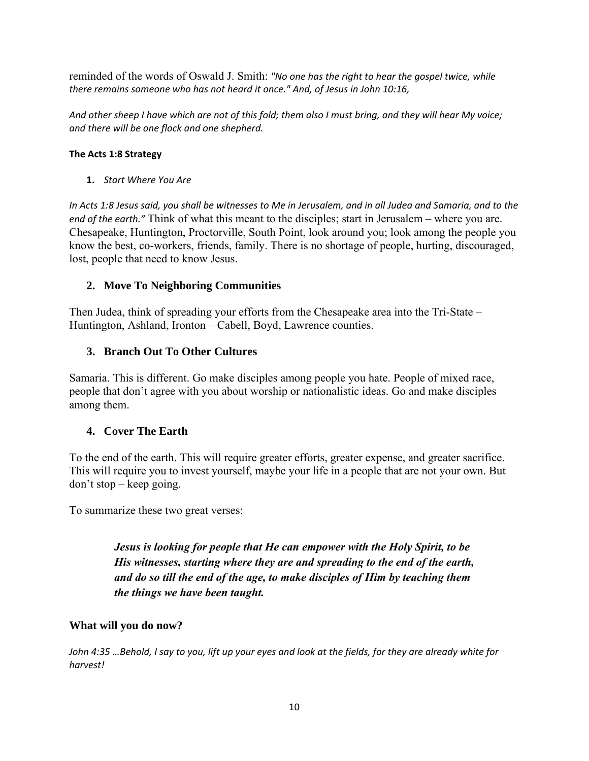reminded of the words of Oswald J. Smith: *"No one has the right to hear the gospel twice, while there remains someone who has not heard it once." And, of Jesus in John 10:16,*

And other sheep I have which are not of this fold; them also I must bring, and they will hear My voice; *and there will be one flock and one shepherd.*

#### **The Acts 1:8 Strategy**

**1.** *Start Where You Are*

In Acts 1:8 Jesus said, you shall be witnesses to Me in Jerusalem, and in all Judea and Samaria, and to the *end of the earth."* Think of what this meant to the disciples; start in Jerusalem – where you are. Chesapeake, Huntington, Proctorville, South Point, look around you; look among the people you know the best, co-workers, friends, family. There is no shortage of people, hurting, discouraged, lost, people that need to know Jesus.

#### **2. Move To Neighboring Communities**

Then Judea, think of spreading your efforts from the Chesapeake area into the Tri-State – Huntington, Ashland, Ironton – Cabell, Boyd, Lawrence counties.

#### **3. Branch Out To Other Cultures**

Samaria. This is different. Go make disciples among people you hate. People of mixed race, people that don't agree with you about worship or nationalistic ideas. Go and make disciples among them.

#### **4. Cover The Earth**

To the end of the earth. This will require greater efforts, greater expense, and greater sacrifice. This will require you to invest yourself, maybe your life in a people that are not your own. But don't stop – keep going.

To summarize these two great verses:

*Jesus is looking for people that He can empower with the Holy Spirit, to be His witnesses, starting where they are and spreading to the end of the earth, and do so till the end of the age, to make disciples of Him by teaching them the things we have been taught.* 

#### **What will you do now?**

John 4:35 ...Behold, I say to you, lift up your eyes and look at the fields, for they are already white for *harvest!*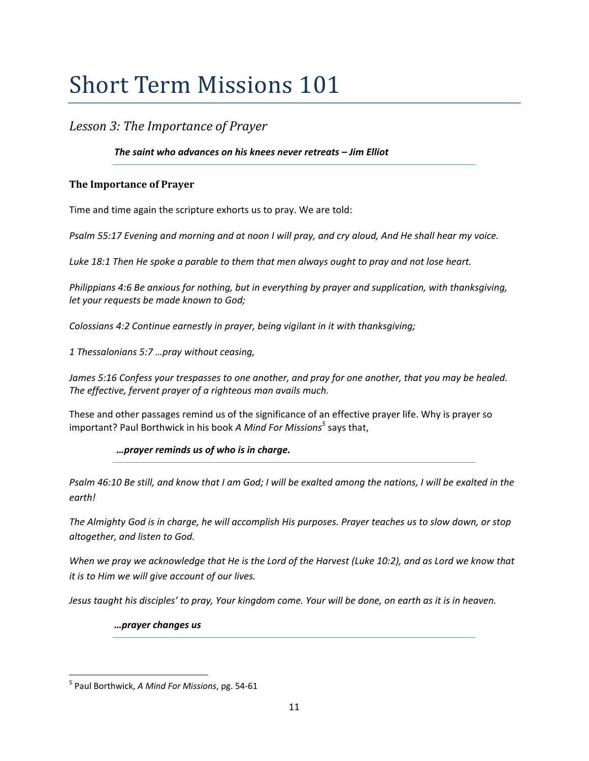### *Lesson 3: The Importance of Prayer*

#### *The saint who advances on his knees never retreats – Jim Elliot*

#### **The Importance of Prayer**

Time and time again the scripture exhorts us to pray. We are told:

Psalm 55:17 Evening and morning and at noon I will pray, and cry aloud, And He shall hear my voice.

*Luke 18:1 Then He spoke a parable to them that men always ought to pray and not lose heart.*

*Philippians 4:6 Be anxious for nothing, but in everything by prayer and supplication, with thanksgiving, let your requests be made known to God;*

*Colossians 4:2 Continue earnestly in prayer, being vigilant in it with thanksgiving;*

*1 Thessalonians 5:7 …pray without ceasing,*

James 5:16 Confess your trespasses to one another, and pray for one another, that you may be healed. *The effective, fervent prayer of a righteous man avails much.*

These and other passages remind us of the significance of an effective prayer life. Why is prayer so important? Paul Borthwick in his book *A Mind For Missions<sup>5</sup>* says that,

#### *…prayer reminds us of who is in charge.*

Psalm 46:10 Be still, and know that I am God; I will be exalted among the nations, I will be exalted in the *earth!*

The Almighty God is in charge, he will accomplish His purposes. Prayer teaches us to slow down, or stop *altogether, and listen to God.*

When we pray we acknowledge that He is the Lord of the Harvest (Luke 10:2), and as Lord we know that *it is to Him we will give account of our lives.*

Jesus taught his disciples' to pray, Your kingdom come. Your will be done, on earth as it is in heaven.

*…prayer changes us* 

<sup>5</sup> Paul Borthwick, *A Mind For Missions*, pg. 54‐61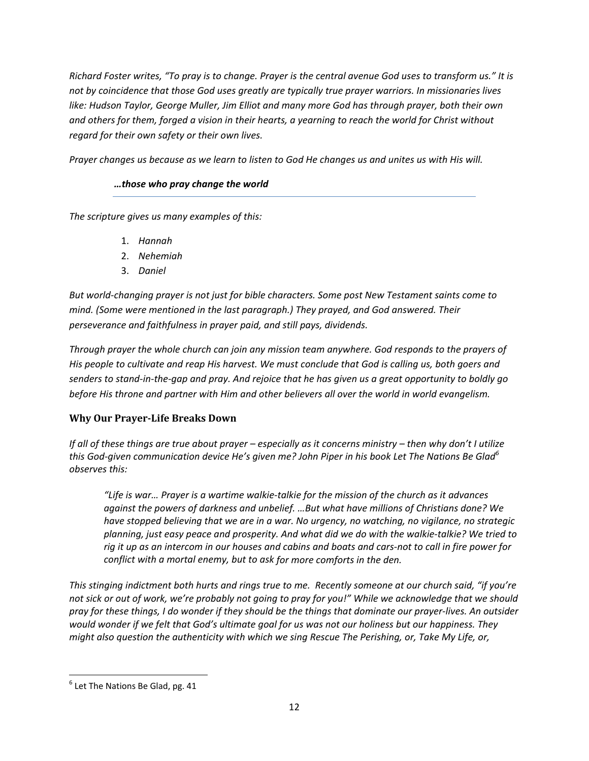Richard Foster writes, "To pray is to change. Prayer is the central avenue God uses to transform us." It is *not by coincidence that those God uses greatly are typically true prayer warriors. In missionaries lives like: Hudson Taylor, George Muller, Jim Elliot and many more God has through prayer, both their own* and others for them, forged a vision in their hearts, a yearning to reach the world for Christ without *regard for their own safety or their own lives.*

Prayer changes us because as we learn to listen to God He changes us and unites us with His will.

#### *…those who pray change the world*

*The scripture gives us many examples of this:*

- 1. *Hannah*
- 2. *Nehemiah*
- 3. *Daniel*

*But world‐changing prayer is not just for bible characters. Some post New Testament saints come to mind. (Some were mentioned in the last paragraph.) They prayed, and God answered. Their perseverance and faithfulness in prayer paid, and still pays, dividends.*

*Through prayer the whole church can join any mission team anywhere. God responds to the prayers of* His people to cultivate and reap His harvest. We must conclude that God is calling us, both goers and senders to stand-in-the-gap and pray. And rejoice that he has given us a great opportunity to boldly go *before His throne and partner with Him and other believers all over the world in world evangelism.*

#### **Why Our PrayerLife Breaks Down**

If all of these things are true about prayer - especially as it concerns ministry - then why don't I utilize this God-given communication device He's given me? John Piper in his book Let The Nations Be Glad<sup>6</sup> *observes this:*

"Life is war... Prayer is a wartime walkie-talkie for the mission of the church as it advances *against the powers of darkness and unbelief. …But what have millions of Christians done? We have stopped believing that we are in a war. No urgency, no watching, no vigilance, no strategic* planning, just easy peace and prosperity. And what did we do with the walkie-talkie? We tried to rig it up as an intercom in our houses and cabins and boats and cars-not to call in fire power for *conflict with a mortal enemy, but to ask for more comforts in the den.*

This stinging indictment both hurts and rings true to me. Recently someone at our church said, "if you're not sick or out of work, we're probably not going to pray for you!" While we acknowledge that we should pray for these things, I do wonder if they should be the things that dominate our prayer-lives. An outsider would wonder if we felt that God's ultimate goal for us was not our holiness but our happiness. They *might also question the authenticity with which we sing Rescue The Perishing, or, Take My Life, or,*

  $6$  Let The Nations Be Glad, pg. 41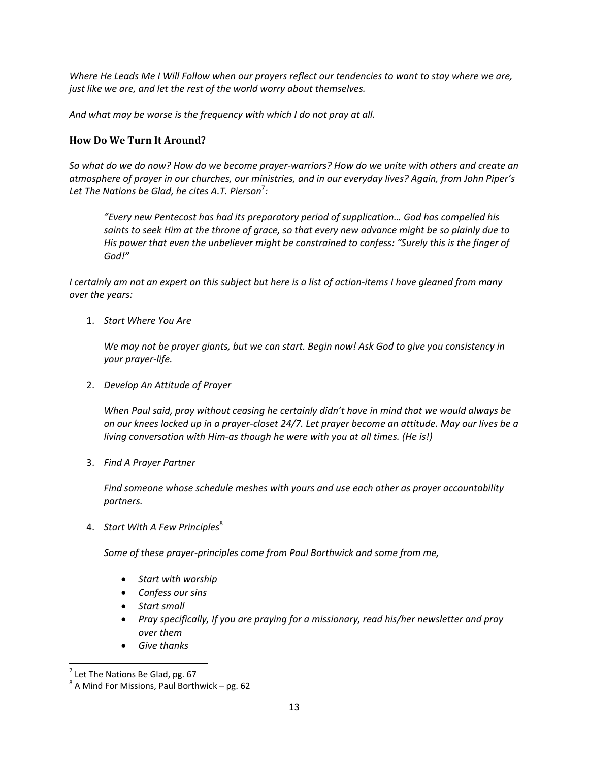Where He Leads Me I Will Follow when our prayers reflect our tendencies to want to stay where we are, *just like we are, and let the rest of the world worry about themselves.*

*And what may be worse is the frequency with which I do not pray at all.*

#### **How Do We Turn It Around?**

So what do we do now? How do we become prayer-warriors? How do we unite with others and create an *atmosphere of prayer in our churches, our ministries, and in our everyday lives? Again, from John Piper's Let The Nations be Glad, he cites A.T. Pierson*<sup>7</sup> *:*

*"Every new Pentecost has had its preparatory period of supplication… God has compelled his* saints to seek Him at the throne of grace, so that every new advance might be so plainly due to *His power that even the unbeliever might be constrained to confess: "Surely this is the finger of God!"*

I certainly am not an expert on this subject but here is a list of action-items I have gleaned from many *over the years:*

1. *Start Where You Are*

We may not be prayer giants, but we can start. Begin now! Ask God to give you consistency in *your prayer‐life.*

2. *Develop An Attitude of Prayer*

*When Paul said, pray without ceasing he certainly didn't have in mind that we would always be* on our knees locked up in a prayer-closet 24/7. Let prayer become an attitude. May our lives be a *living conversation with Him‐as though he were with you at all times. (He is!)*

3. *Find A Prayer Partner*

*Find someone whose schedule meshes with yours and use each other as prayer accountability partners.*

4. *Start With A Few Principles*<sup>8</sup>

*Some of these prayer‐principles come from Paul Borthwick and some from me,*

- *Start with worship*
- *Confess our sins*
- *Start small*
- *Pray specifically, If you are praying for a missionary, read his/her newsletter and pray over them*
- *Give thanks*

<sup>&</sup>lt;sup>7</sup> Let The Nations Be Glad, pg. 67<br><sup>8</sup> A Mind For Missions, Paul Borthwick – pg. 62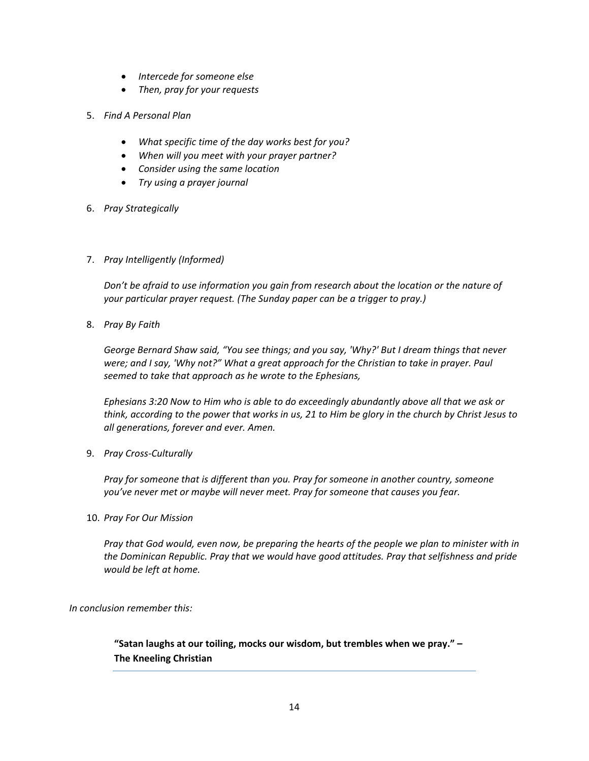- *Intercede for someone else*
- *Then, pray for your requests*
- 5. *Find A Personal Plan*
	- *What specific time of the day works best for you?*
	- *When will you meet with your prayer partner?*
	- *Consider using the same location*
	- *Try using a prayer journal*
- 6. *Pray Strategically*
- 7. *Pray Intelligently (Informed)*

*Don't be afraid to use information you gain from research about the location or the nature of your particular prayer request. (The Sunday paper can be a trigger to pray.)*

8. *Pray By Faith*

*George Bernard Shaw said, "You see things; and you say, 'Why?' But I dream things that never were; and I say, 'Why not?" What a great approach for the Christian to take in prayer. Paul seemed to take that approach as he wrote to the Ephesians,*

*Ephesians 3:20 Now to Him who is able to do exceedingly abundantly above all that we ask or* think, according to the power that works in us, 21 to Him be glory in the church by Christ Jesus to *all generations, forever and ever. Amen.*

9. *Pray Cross‐Culturally*

*Pray for someone that is different than you. Pray for someone in another country, someone you've never met or maybe will never meet. Pray for someone that causes you fear.*

#### 10. *Pray For Our Mission*

Pray that God would, even now, be preparing the hearts of the people we plan to minister with in *the Dominican Republic. Pray that we would have good attitudes. Pray that selfishness and pride would be left at home.*

*In conclusion remember this:*

**"Satan laughs at our toiling, mocks our wisdom, but trembles when we pray." – The Kneeling Christian**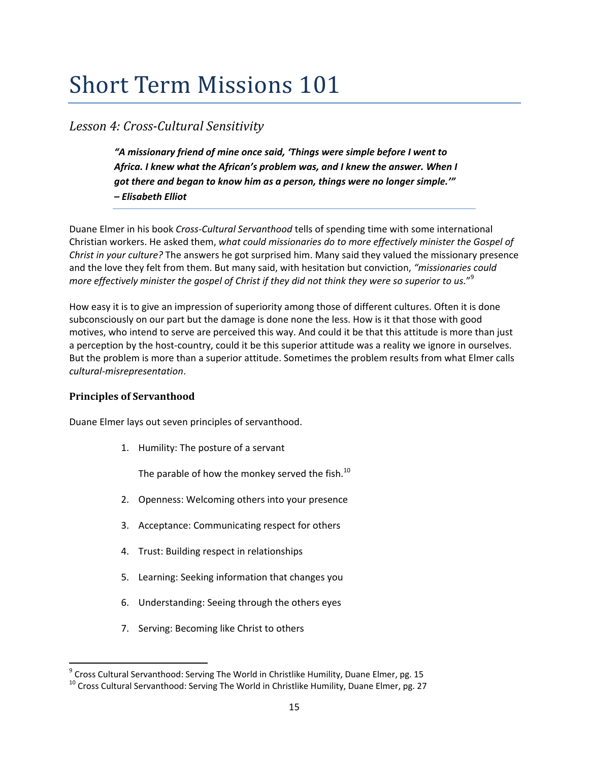### *Lesson 4: CrossCultural Sensitivity*

*"A missionary friend of mine once said, 'Things were simple before I went to Africa. I knew what the African's problem was, and I knew the answer. When I got there and began to know him as a person, things were no longer simple.'" – Elisabeth Elliot*

Duane Elmer in his book *Cross‐Cultural Servanthood* tells of spending time with some international Christian workers. He asked them, *what could missionaries do to more effectively minister the Gospel of Christ in your culture?* The answers he got surprised him. Many said they valued the missionary presence and the love they felt from them. But many said, with hesitation but conviction, *"missionaries could* more effectively minister the gospel of Christ if they did not think they were so superior to us." $^9$ 

How easy it is to give an impression of superiority among those of different cultures. Often it is done subconsciously on our part but the damage is done none the less. How is it that those with good motives, who intend to serve are perceived this way. And could it be that this attitude is more than just a perception by the host-country, could it be this superior attitude was a reality we ignore in ourselves. But the problem is more than a superior attitude. Sometimes the problem results from what Elmer calls *cultural‐misrepresentation*.

#### **Principles of Servanthood**

Duane Elmer lays out seven principles of servanthood.

1. Humility: The posture of a servant

The parable of how the monkey served the fish. $^{10}$ 

- 2. Openness: Welcoming others into your presence
- 3. Acceptance: Communicating respect for others
- 4. Trust: Building respect in relationships
- 5. Learning: Seeking information that changes you
- 6. Understanding: Seeing through the others eyes
- 7. Serving: Becoming like Christ to others

<sup>&</sup>lt;sup>9</sup> Cross Cultural Servanthood: Serving The World in Christlike Humility, Duane Elmer, pg. 15

 $^{10}$  Cross Cultural Servanthood: Serving The World in Christlike Humility, Duane Elmer, pg. 27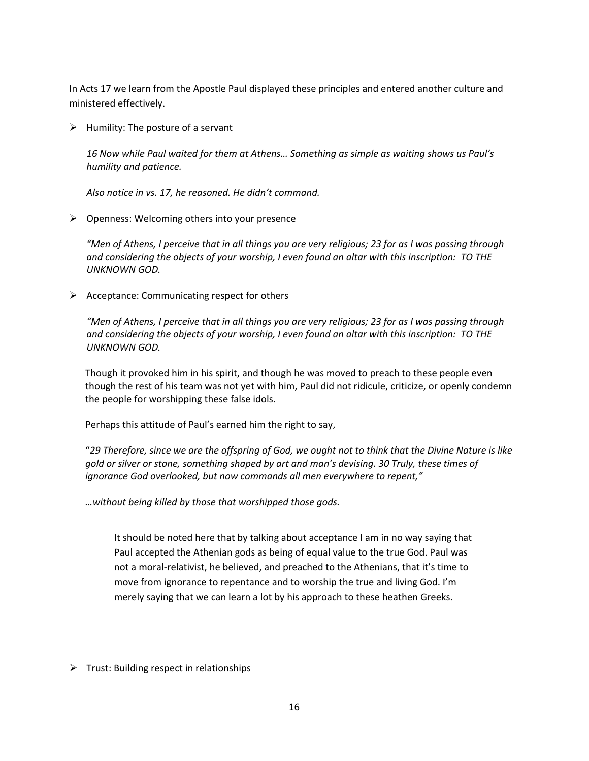In Acts 17 we learn from the Apostle Paul displayed these principles and entered another culture and ministered effectively.

 $\triangleright$  Humility: The posture of a servant

*16 Now while Paul waited for them at Athens… Something as simple as waiting shows us Paul's humility and patience.*

*Also notice in vs. 17, he reasoned. He didn't command.*

 $\triangleright$  Openness: Welcoming others into your presence

"Men of Athens, I perceive that in all things you are very religious; 23 for as I was passing through *and considering the objects of your worship, I even found an altar with this inscription: TO THE UNKNOWN GOD.*

 $\triangleright$  Acceptance: Communicating respect for others

"Men of Athens, I perceive that in all things you are very religious; 23 for as I was passing through *and considering the objects of your worship, I even found an altar with this inscription: TO THE UNKNOWN GOD.*

Though it provoked him in his spirit, and though he was moved to preach to these people even though the rest of his team was not yet with him, Paul did not ridicule, criticize, or openly condemn the people for worshipping these false idols.

Perhaps this attitude of Paul's earned him the right to say,

"29 Therefore, since we are the offspring of God, we ought not to think that the Divine Nature is like *gold or silver or stone, something shaped by art and man's devising. 30 Truly, these times of ignorance God overlooked, but now commands all men everywhere to repent,"*

*…without being killed by those that worshipped those gods.*

It should be noted here that by talking about acceptance I am in no way saying that Paul accepted the Athenian gods as being of equal value to the true God. Paul was not a moral‐relativist, he believed, and preached to the Athenians, that it's time to move from ignorance to repentance and to worship the true and living God. I'm merely saying that we can learn a lot by his approach to these heathen Greeks.

 $\triangleright$  Trust: Building respect in relationships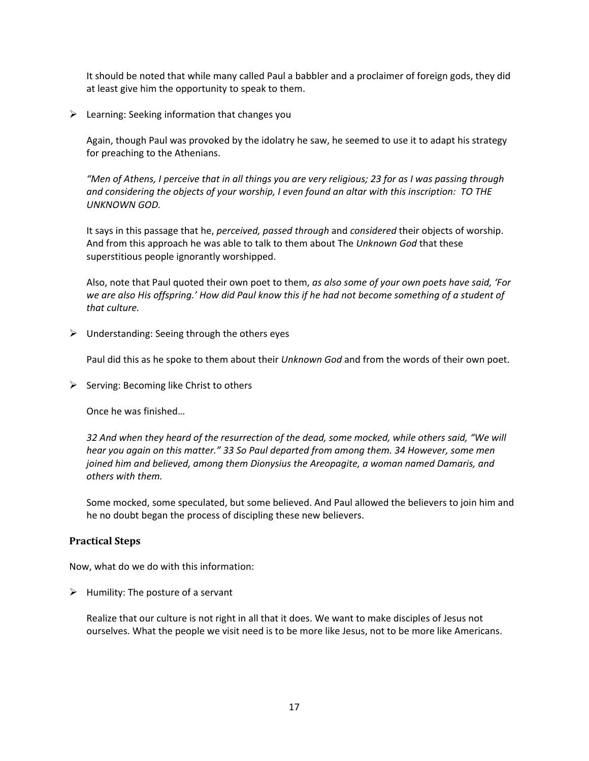It should be noted that while many called Paul a babbler and a proclaimer of foreign gods, they did at least give him the opportunity to speak to them.

 $\triangleright$  Learning: Seeking information that changes you

Again, though Paul was provoked by the idolatry he saw, he seemed to use it to adapt his strategy for preaching to the Athenians.

"Men of Athens, I perceive that in all things you are very religious; 23 for as I was passing through *and considering the objects of your worship, I even found an altar with this inscription: TO THE UNKNOWN GOD.*

It says in this passage that he, *perceived, passed through* and *considered* their objects of worship. And from this approach he was able to talk to them about The *Unknown God* that these superstitious people ignorantly worshipped.

Also, note that Paul quoted their own poet to them, *as also some of your own poets have said, 'For* we are also His offspring.' How did Paul know this if he had not become something of a student of *that culture.*

 $\triangleright$  Understanding: Seeing through the others eyes

Paul did this as he spoke to them about their *Unknown God* and from the words of their own poet.

 $\triangleright$  Serving: Becoming like Christ to others

Once he was finished…

*32 And when they heard of the resurrection of the dead, some mocked, while others said, "We will hear you again on this matter." 33 So Paul departed from among them. 34 However, some men joined him and believed, among them Dionysius the Areopagite, a woman named Damaris, and others with them.*

Some mocked, some speculated, but some believed. And Paul allowed the believers to join him and he no doubt began the process of discipling these new believers.

#### **Practical Steps**

Now, what do we do with this information:

 $\triangleright$  Humility: The posture of a servant

Realize that our culture is not right in all that it does. We want to make disciples of Jesus not ourselves. What the people we visit need is to be more like Jesus, not to be more like Americans.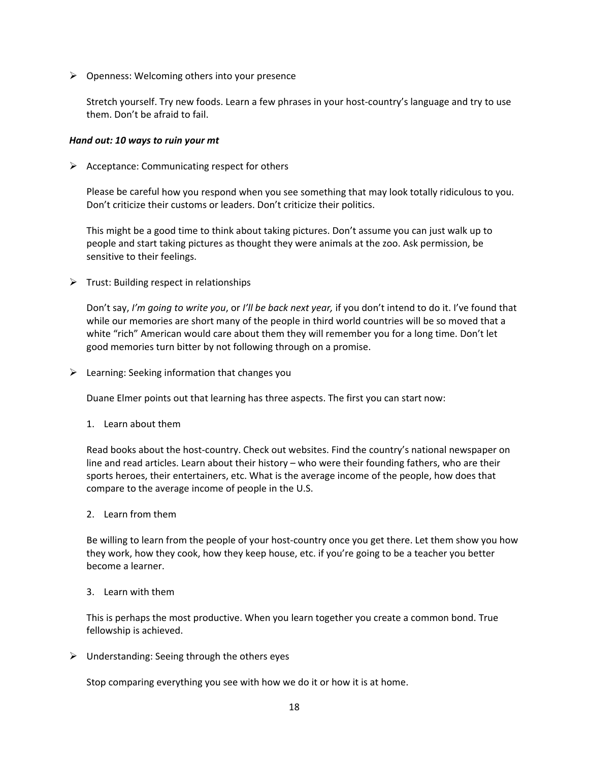$\triangleright$  Openness: Welcoming others into your presence

Stretch yourself. Try new foods. Learn a few phrases in your host-country's language and try to use them. Don't be afraid to fail.

#### *Hand out: 10 ways to ruin your mt*

 $\triangleright$  Acceptance: Communicating respect for others

Please be careful how you respond when you see something that may look totally ridiculous to you. Don't criticize their customs or leaders. Don't criticize their politics.

This might be a good time to think about taking pictures. Don't assume you can just walk up to people and start taking pictures as thought they were animals at the zoo. Ask permission, be sensitive to their feelings.

 $\triangleright$  Trust: Building respect in relationships

Don't say, *I'm going to write you*, or *I'll be back next year,* if you don't intend to do it. I've found that while our memories are short many of the people in third world countries will be so moved that a white "rich" American would care about them they will remember you for a long time. Don't let good memories turn bitter by not following through on a promise.

 $\triangleright$  Learning: Seeking information that changes you

Duane Elmer points out that learning has three aspects. The first you can start now:

1. Learn about them

Read books about the host-country. Check out websites. Find the country's national newspaper on line and read articles. Learn about their history – who were their founding fathers, who are their sports heroes, their entertainers, etc. What is the average income of the people, how does that compare to the average income of people in the U.S.

2. Learn from them

Be willing to learn from the people of your host-country once you get there. Let them show you how they work, how they cook, how they keep house, etc. if you're going to be a teacher you better become a learner.

3. Learn with them

This is perhaps the most productive. When you learn together you create a common bond. True fellowship is achieved.

 $\triangleright$  Understanding: Seeing through the others eyes

Stop comparing everything you see with how we do it or how it is at home.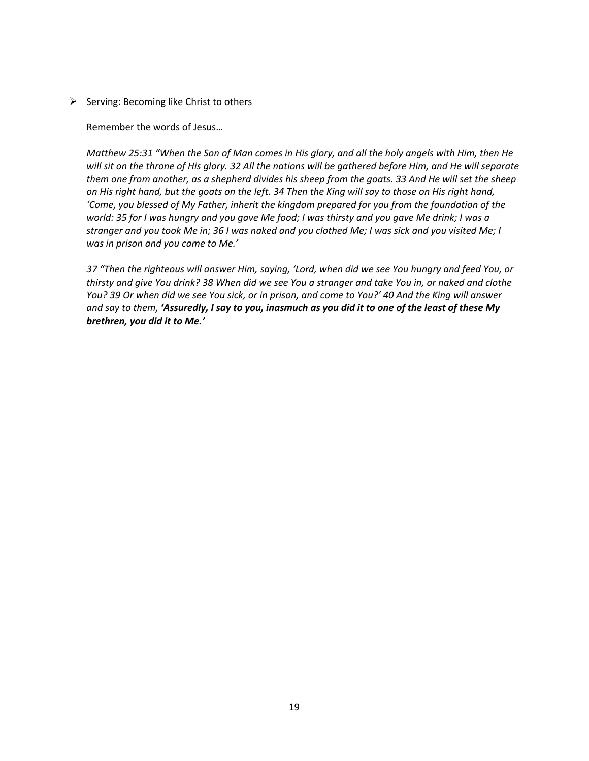$\triangleright$  Serving: Becoming like Christ to others

Remember the words of Jesus…

Matthew 25:31 "When the Son of Man comes in His glory, and all the holy angels with Him, then He will sit on the throne of His glory. 32 All the nations will be gathered before Him, and He will separate them one from another, as a shepherd divides his sheep from the goats. 33 And He will set the sheep on His right hand, but the goats on the left. 34 Then the King will say to those on His right hand, *'Come, you blessed of My Father, inherit the kingdom prepared for you from the foundation of the* world: 35 for I was hungry and you gave Me food; I was thirsty and you gave Me drink; I was a stranger and you took Me in; 36 I was naked and you clothed Me; I was sick and you visited Me; I *was in prison and you came to Me.'* 

37 "Then the righteous will answer Him, saying, 'Lord, when did we see You hungry and feed You, or thirsty and give You drink? 38 When did we see You a stranger and take You in, or naked and clothe You? 39 Or when did we see You sick, or in prison, and come to You?' 40 And the King will answer and say to them, 'Assuredly, I say to you, inasmuch as you did it to one of the least of these My *brethren, you did it to Me.'*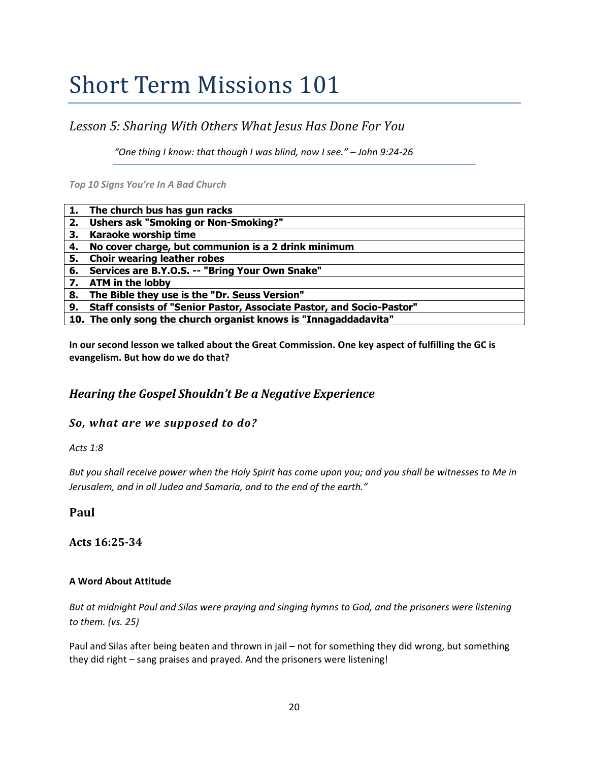### *Lesson 5: Sharing With Others What Jesus Has Done For You*

*"One thing I know: that though I was blind, now I see." – John 9:24‐26*

*Top 10 Signs You're In A Bad Church*

|    | 1. The church bus has gun racks                                          |
|----|--------------------------------------------------------------------------|
| 2. | <b>Ushers ask "Smoking or Non-Smoking?"</b>                              |
| 3. | Karaoke worship time                                                     |
|    | 4. No cover charge, but communion is a 2 drink minimum                   |
| 5. | <b>Choir wearing leather robes</b>                                       |
|    | 6. Services are B.Y.O.S. -- "Bring Your Own Snake"                       |
| 7. | <b>ATM in the lobby</b>                                                  |
| 8. | The Bible they use is the "Dr. Seuss Version"                            |
|    | 9. Staff consists of "Senior Pastor, Associate Pastor, and Socio-Pastor" |
|    | 10. The only song the church organist knows is "Innagaddadavita"         |

**In our second lesson we talked about the Great Commission. One key aspect of fulfilling the GC is evangelism. But how do we do that?**

### *Hearing the Gospel Shouldn't Be a Negative Experience*

#### *So, what are we supposed to do?*

*Acts 1:8*

But you shall receive power when the Holy Spirit has come upon you; and you shall be witnesses to Me in *Jerusalem, and in all Judea and Samaria, and to the end of the earth."*

**Paul**

**Acts 16:2534**

#### **A Word About Attitude**

But at midnight Paul and Silas were praying and singing hymns to God, and the prisoners were listening *to them. (vs. 25)*

Paul and Silas after being beaten and thrown in jail – not for something they did wrong, but something they did right – sang praises and prayed. And the prisoners were listening!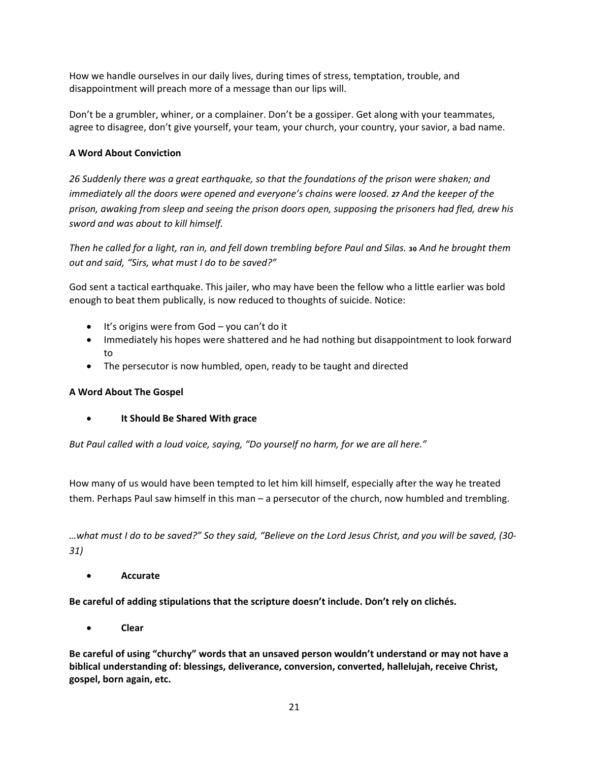How we handle ourselves in our daily lives, during times of stress, temptation, trouble, and disappointment will preach more of a message than our lips will.

Don't be a grumbler, whiner, or a complainer. Don't be a gossiper. Get along with your teammates, agree to disagree, don't give yourself, your team, your church, your country, your savior, a bad name.

#### **A Word About Conviction**

*26 Suddenly there was a great earthquake, so that the foundations of the prison were shaken; and immediately all the doors were opened and everyone's chains were loosed. 27 And the keeper of the prison, awaking from sleep and seeing the prison doors open, supposing the prisoners had fled, drew his sword and was about to kill himself.*

Then he called for a light, ran in, and fell down trembling before Paul and Silas. 30 And he brought them *out and said, "Sirs, what must I do to be saved?"*

God sent a tactical earthquake. This jailer, who may have been the fellow who a little earlier was bold enough to beat them publically, is now reduced to thoughts of suicide. Notice:

- It's origins were from God you can't do it
- Immediately his hopes were shattered and he had nothing but disappointment to look forward to
- The persecutor is now humbled, open, ready to be taught and directed

#### **A Word About The Gospel**

• **It Should Be Shared With grace**

*But Paul called with a loud voice, saying, "Do yourself no harm, for we are all here."* 

How many of us would have been tempted to let him kill himself, especially after the way he treated them. Perhaps Paul saw himself in this man – a persecutor of the church, now humbled and trembling.

...what must I do to be saved?" So they said, "Believe on the Lord Jesus Christ, and you will be saved, (30-*31)*

• **Accurate**

**Be careful of adding stipulations that the scripture doesn't include. Don't rely on clichés.**

• **Clear**

**Be careful of using "churchy" words that an unsaved person wouldn't understand or may not have a biblical understanding of: blessings, deliverance, conversion, converted, hallelujah, receive Christ, gospel, born again, etc.**